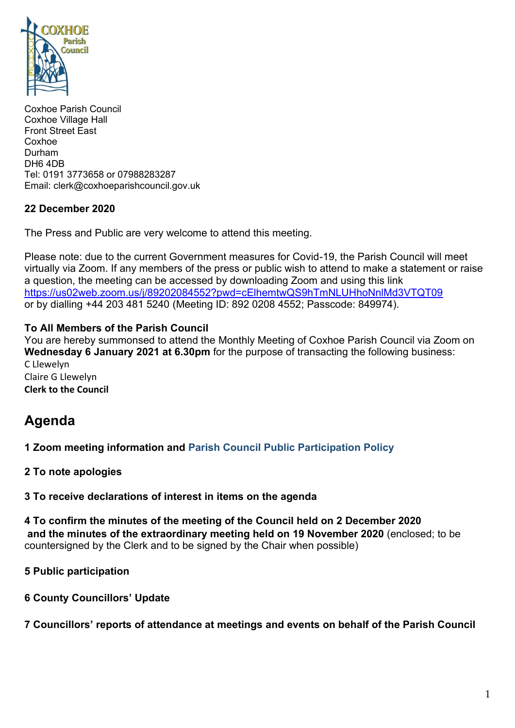

Coxhoe Parish Council Coxhoe Village Hall Front Street East Coxhoe Durham DH6 4DB Tel: 0191 3773658 or 07988283287 Email: clerk@coxhoeparishcouncil.gov.uk

## **22 December 2020**

The Press and Public are very welcome to attend this meeting.

Please note: due to the current Government measures for Covid-19, the Parish Council will meet virtually via Zoom. If any members of the press or public wish to attend to make a statement or raise a question, the meeting can be accessed by downloading Zoom and using this link <https://us02web.zoom.us/j/89202084552?pwd=cElhemtwQS9hTmNLUHhoNnlMd3VTQT09> or by dialling +44 203 481 5240 (Meeting ID: 892 0208 4552; Passcode: 849974).

## **To All Members of the Parish Council**

You are hereby summonsed to attend the Monthly Meeting of Coxhoe Parish Council via Zoom on **Wednesday 6 January 2021 at 6.30pm** for the purpose of transacting the following business: C Llewelyn Claire G Llewelyn **Clerk to the Council**

# **Agenda**

**1 Zoom meeting information and [Parish Council Public Participation Policy](http://coxhoeparishcouncil.gov.uk/important-documents-and-policies/public-participation-policy-fmarch-2020-review-date-march-2022/)**

**2 To note apologies**

**3 To receive declarations of interest in items on the agenda**

**4 To confirm the minutes of the meeting of the Council held on 2 December 2020 and the minutes of the extraordinary meeting held on 19 November 2020** (enclosed; to be countersigned by the Clerk and to be signed by the Chair when possible)

**5 Public participation**

**6 County Councillors' Update**

**7 Councillors' reports of attendance at meetings and events on behalf of the Parish Council**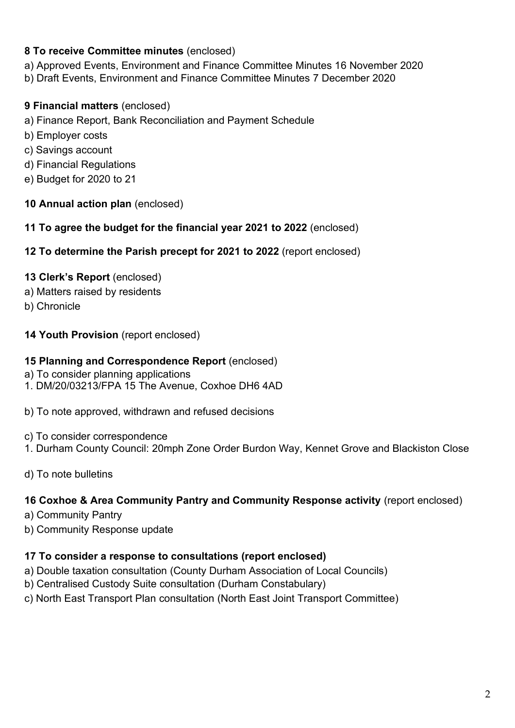## **8 To receive Committee minutes** (enclosed)

a) Approved Events, Environment and Finance Committee Minutes 16 November 2020

b) Draft Events, Environment and Finance Committee Minutes 7 December 2020

# **9 Financial matters** (enclosed)

- a) Finance Report, Bank Reconciliation and Payment Schedule
- b) Employer costs
- c) Savings account
- d) Financial Regulations
- e) Budget for 2020 to 21

## **10 Annual action plan** (enclosed)

**11 To agree the budget for the financial year 2021 to 2022** (enclosed)

### **12 To determine the Parish precept for 2021 to 2022** (report enclosed)

## **13 Clerk's Report** (enclosed)

- a) Matters raised by residents
- b) Chronicle

## **14 Youth Provision** (report enclosed)

### **15 Planning and Correspondence Report** (enclosed)

- a) To consider planning applications
- 1. DM/20/03213/FPA 15 The Avenue, Coxhoe DH6 4AD
- b) To note approved, withdrawn and refused decisions
- c) To consider correspondence
- 1. Durham County Council: 20mph Zone Order Burdon Way, Kennet Grove and Blackiston Close
- d) To note bulletins

### **16 Coxhoe & Area Community Pantry and Community Response activity** (report enclosed)

- a) Community Pantry
- b) Community Response update

### **17 To consider a response to consultations (report enclosed)**

- a) Double taxation consultation (County Durham Association of Local Councils)
- b) Centralised Custody Suite consultation (Durham Constabulary)
- c) North East Transport Plan consultation (North East Joint Transport Committee)